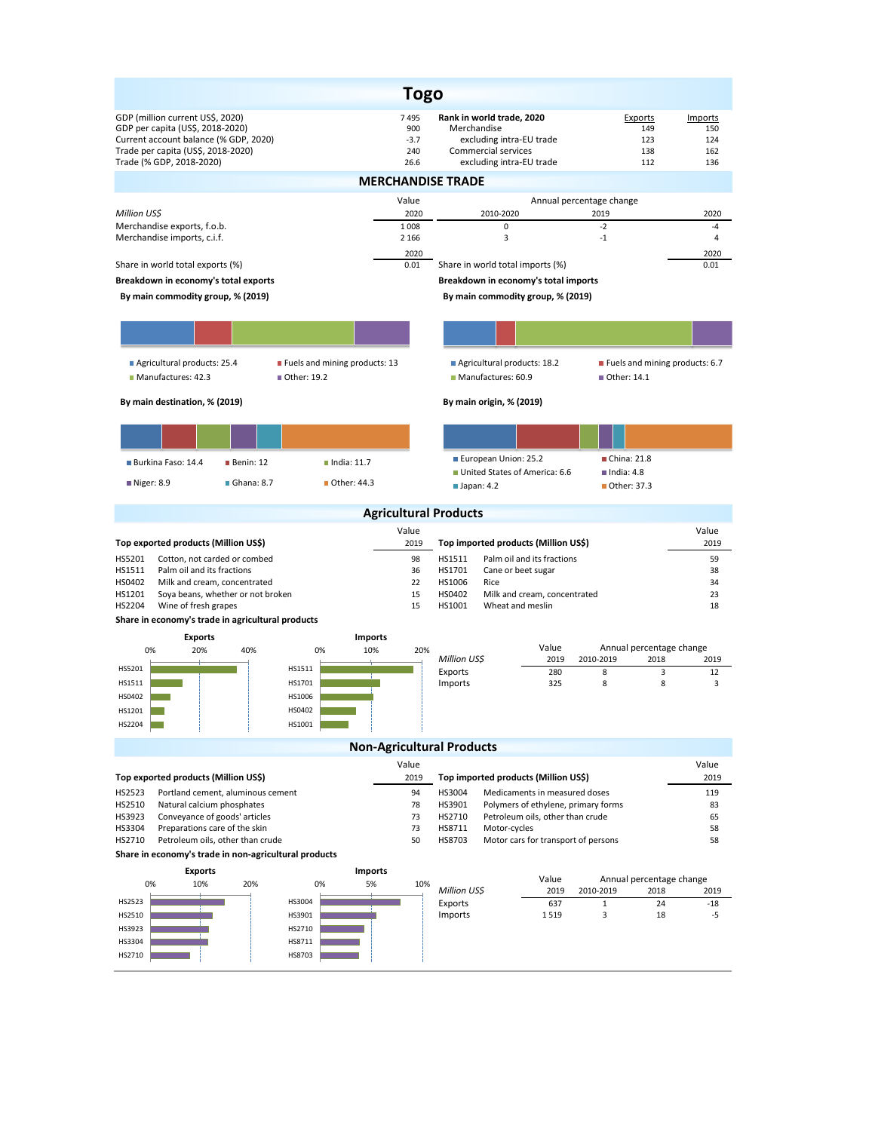|                                                                                                                                                                                 |                                                | <b>Togo</b>                          |                                                                                                                                |                                                 |                                     |  |  |  |
|---------------------------------------------------------------------------------------------------------------------------------------------------------------------------------|------------------------------------------------|--------------------------------------|--------------------------------------------------------------------------------------------------------------------------------|-------------------------------------------------|-------------------------------------|--|--|--|
| GDP (million current US\$, 2020)<br>GDP per capita (US\$, 2018-2020)<br>Current account balance (% GDP, 2020)<br>Trade per capita (US\$, 2018-2020)<br>Trade (% GDP, 2018-2020) |                                                | 7495<br>900<br>$-3.7$<br>240<br>26.6 | Rank in world trade, 2020<br>Merchandise<br>excluding intra-EU trade<br><b>Commercial services</b><br>excluding intra-EU trade | Exports<br>149<br>123<br>138<br>112             | Imports<br>150<br>124<br>162<br>136 |  |  |  |
|                                                                                                                                                                                 |                                                |                                      | <b>MERCHANDISE TRADE</b>                                                                                                       |                                                 |                                     |  |  |  |
|                                                                                                                                                                                 |                                                | Value                                |                                                                                                                                | Annual percentage change                        |                                     |  |  |  |
| Million US\$<br>Merchandise exports, f.o.b.                                                                                                                                     |                                                | 2020<br>1 0 0 8                      | 2010-2020<br>0                                                                                                                 | 2019<br>$-2$                                    | 2020<br>$-4$                        |  |  |  |
| Merchandise imports, c.i.f.                                                                                                                                                     |                                                | 2 1 6 6                              | 3                                                                                                                              | $-1$                                            | $\overline{4}$                      |  |  |  |
| Share in world total exports (%)                                                                                                                                                |                                                | 2020<br>0.01                         | Share in world total imports (%)                                                                                               |                                                 | 2020<br>0.01                        |  |  |  |
| Breakdown in economy's total exports                                                                                                                                            |                                                |                                      | Breakdown in economy's total imports                                                                                           |                                                 |                                     |  |  |  |
| By main commodity group, % (2019)                                                                                                                                               |                                                |                                      | By main commodity group, % (2019)                                                                                              |                                                 |                                     |  |  |  |
|                                                                                                                                                                                 |                                                |                                      |                                                                                                                                |                                                 |                                     |  |  |  |
| Agricultural products: 25.4<br>Manufactures: 42.3                                                                                                                               | ■ Fuels and mining products: 13<br>Other: 19.2 |                                      | Agricultural products: 18.2<br>Manufactures: 60.9                                                                              | ■ Fuels and mining products: 6.7<br>Other: 14.1 |                                     |  |  |  |
| By main destination, % (2019)                                                                                                                                                   |                                                |                                      | By main origin, % (2019)                                                                                                       |                                                 |                                     |  |  |  |
|                                                                                                                                                                                 |                                                |                                      |                                                                                                                                |                                                 |                                     |  |  |  |
|                                                                                                                                                                                 |                                                |                                      |                                                                                                                                |                                                 |                                     |  |  |  |
| Burkina Faso: 14.4<br>$\blacksquare$ Benin: 12                                                                                                                                  | $\blacksquare$ India: 11.7                     |                                      | European Union: 25.2<br>United States of America: 6.6                                                                          | China: 21.8<br>$\blacksquare$ India: 4.8        |                                     |  |  |  |
| $\blacksquare$ Ghana: 8.7<br>Niger: 8.9                                                                                                                                         | ■ Other: 44.3                                  |                                      | Japan: 4.2                                                                                                                     | Other: 37.3                                     |                                     |  |  |  |
|                                                                                                                                                                                 |                                                |                                      | <b>Agricultural Products</b>                                                                                                   |                                                 |                                     |  |  |  |
|                                                                                                                                                                                 |                                                | Value                                |                                                                                                                                |                                                 | Value                               |  |  |  |
| Top exported products (Million US\$)<br>HS5201<br>Cotton, not carded or combed                                                                                                  |                                                | 2019<br>98                           | Top imported products (Million US\$)<br>HS1511<br>Palm oil and its fractions                                                   |                                                 | 2019<br>59                          |  |  |  |
| HS1511<br>Palm oil and its fractions                                                                                                                                            |                                                |                                      | HS1701<br>Cane or beet sugar                                                                                                   |                                                 | 38                                  |  |  |  |
| HS0402<br>Milk and cream, concentrated<br>HS1201<br>Soya beans, whether or not broken                                                                                           |                                                |                                      | HS1006<br>Rice<br>HS0402<br>Milk and cream, concentrated                                                                       |                                                 | 34<br>23                            |  |  |  |
| HS2204<br>Wine of fresh grapes                                                                                                                                                  |                                                | 15<br>15                             | HS1001<br>Wheat and meslin                                                                                                     |                                                 | 18                                  |  |  |  |
| Share in economy's trade in agricultural products                                                                                                                               |                                                |                                      |                                                                                                                                |                                                 |                                     |  |  |  |
| <b>Exports</b><br>0%<br>20%<br>40%                                                                                                                                              | Imports<br>10%<br>0%                           | 20%                                  | Value                                                                                                                          | Annual percentage change                        |                                     |  |  |  |
| HS5201                                                                                                                                                                          | HS1511                                         |                                      | Million US\$<br>2019                                                                                                           | 2010-2019<br>2018                               | 2019                                |  |  |  |
| HS1511                                                                                                                                                                          | HS1701                                         |                                      | Exports<br>280<br>Imports<br>325                                                                                               | 8<br>3<br>8<br>8                                | 12<br>3                             |  |  |  |
| HS0402                                                                                                                                                                          | HS1006                                         |                                      |                                                                                                                                |                                                 |                                     |  |  |  |
| HS1201<br>HS2204                                                                                                                                                                | HS0402<br>HS1001                               |                                      |                                                                                                                                |                                                 |                                     |  |  |  |
|                                                                                                                                                                                 |                                                |                                      | <b>Non-Agricultural Products</b>                                                                                               |                                                 |                                     |  |  |  |
|                                                                                                                                                                                 |                                                | Value                                |                                                                                                                                |                                                 | Value                               |  |  |  |
| Top exported products (Million US\$)                                                                                                                                            |                                                | 2019                                 | Top imported products (Million US\$)                                                                                           |                                                 | 2019                                |  |  |  |
| HS2523<br>Portland cement, aluminous cement                                                                                                                                     |                                                | 94                                   | HS3004<br>Medicaments in measured doses                                                                                        |                                                 | 119                                 |  |  |  |
| HS2510<br>Natural calcium phosphates<br>78<br>HS3923<br>Conveyance of goods' articles<br>73                                                                                     |                                                |                                      | HS3901<br>Polymers of ethylene, primary forms<br>HS2710<br>Petroleum oils, other than crude                                    |                                                 | 83<br>65                            |  |  |  |
| HS3304<br>Preparations care of the skin<br>Petroleum oils, other than crude                                                                                                     |                                                | 73                                   | HS8711<br>Motor-cycles<br>Motor cars for transport of persons                                                                  |                                                 | 58                                  |  |  |  |
| HS2710<br>Share in economy's trade in non-agricultural products                                                                                                                 |                                                | 50                                   | HS8703                                                                                                                         |                                                 | 58                                  |  |  |  |
| <b>Exports</b>                                                                                                                                                                  | <b>Imports</b>                                 |                                      |                                                                                                                                |                                                 |                                     |  |  |  |
| 0%<br>10%<br>20%                                                                                                                                                                | 0%<br>5%                                       | 10%                                  | Value<br>Million US\$<br>2019                                                                                                  | Annual percentage change<br>2010-2019<br>2018   | 2019                                |  |  |  |
| HS2523                                                                                                                                                                          | HS3004                                         |                                      | 637<br>Exports                                                                                                                 | $\mathbf 1$<br>24                               | $-18$                               |  |  |  |
| HS2510<br>HS3923                                                                                                                                                                | HS3901<br>HS2710                               |                                      | Imports<br>1519                                                                                                                | 3<br>18                                         | -5                                  |  |  |  |
| HS3304                                                                                                                                                                          | HS8711                                         |                                      |                                                                                                                                |                                                 |                                     |  |  |  |
| HS2710                                                                                                                                                                          | HS8703                                         |                                      |                                                                                                                                |                                                 |                                     |  |  |  |
|                                                                                                                                                                                 |                                                |                                      |                                                                                                                                |                                                 |                                     |  |  |  |